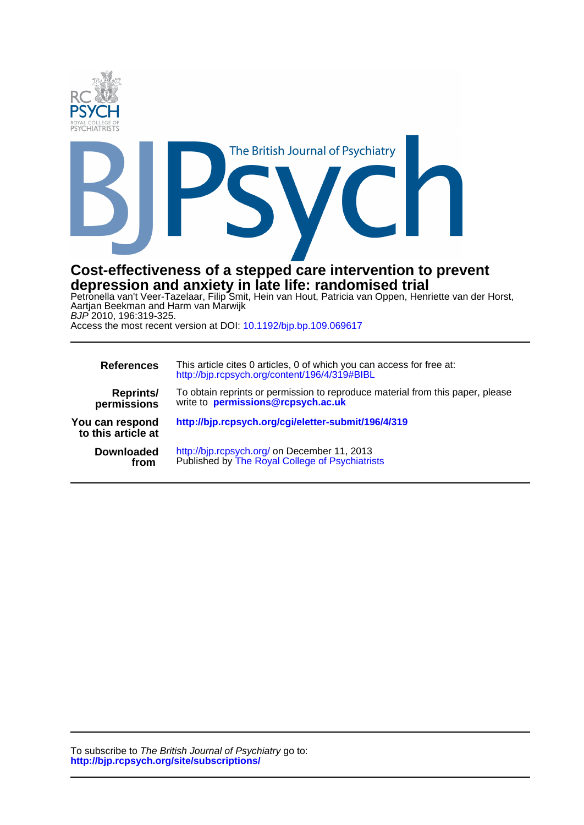



# **depression and anxiety in late life: randomised trial Cost-effectiveness of a stepped care intervention to prevent**

BJP 2010, 196:319-325. Aartjan Beekman and Harm van Marwijk Petronella van't Veer-Tazelaar, Filip Smit, Hein van Hout, Patricia van Oppen, Henriette van der Horst,

Access the most recent version at DOI: [10.1192/bjp.bp.109.069617](http://bjp.rcpsych.org/)

| <b>References</b>                     | This article cites 0 articles, 0 of which you can access for free at:<br>http://bjp.rcpsych.org/content/196/4/319#BIBL |
|---------------------------------------|------------------------------------------------------------------------------------------------------------------------|
| <b>Reprints/</b><br>permissions       | To obtain reprints or permission to reproduce material from this paper, please<br>write to permissions@rcpsych.ac.uk   |
| You can respond<br>to this article at | http://bjp.rcpsych.org/cgi/eletter-submit/196/4/319                                                                    |
| <b>Downloaded</b><br>from             | http://bjp.rcpsych.org/ on December 11, 2013<br>Published by The Royal College of Psychiatrists                        |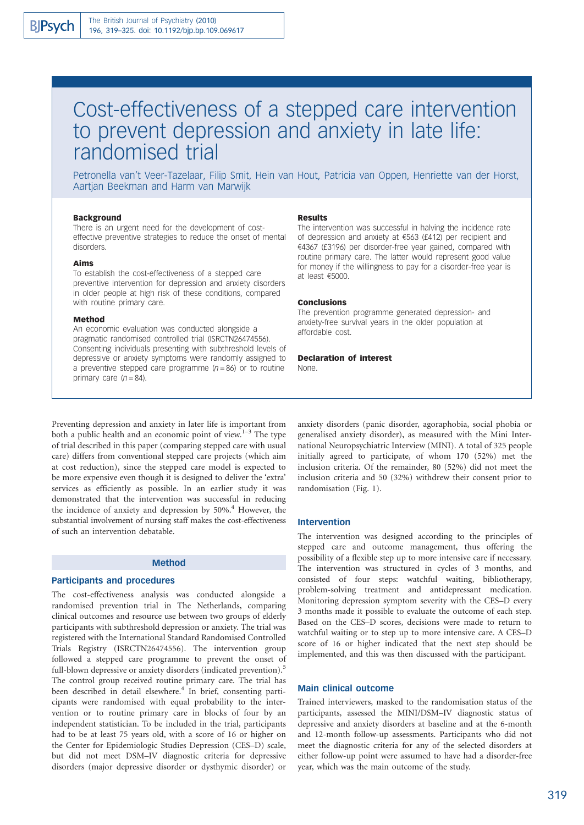# Cost-effectiveness of a stepped care intervention to prevent depression and anxiety in late life: randomised trial

Petronella van't Veer-Tazelaar, Filip Smit, Hein van Hout, Patricia van Oppen, Henriette van der Horst, Aartjan Beekman and Harm van Marwijk

#### **Background**

There is an urgent need for the development of costeffective preventive strategies to reduce the onset of mental disorders.

#### Aims

To establish the cost-effectiveness of a stepped care preventive intervention for depression and anxiety disorders in older people at high risk of these conditions, compared with routine primary care.

#### Method

An economic evaluation was conducted alongside a pragmatic randomised controlled trial (ISRCTN26474556). Consenting individuals presenting with subthreshold levels of depressive or anxiety symptoms were randomly assigned to a preventive stepped care programme  $(n = 86)$  or to routine primary care  $(n = 84)$ .

#### Results

The intervention was successful in halving the incidence rate of depression and anxiety at  $E$ 563 (£412) per recipient and €4367 (£3196) per disorder-free year gained, compared with routine primary care. The latter would represent good value for money if the willingness to pay for a disorder-free year is at least e5000.

#### Conclusions

The prevention programme generated depression- and anxiety-free survival years in the older population at affordable cost.

# Declaration of interest

None.

Preventing depression and anxiety in later life is important from both a public health and an economic point of view. $1-3$  The type of trial described in this paper (comparing stepped care with usual care) differs from conventional stepped care projects (which aim at cost reduction), since the stepped care model is expected to be more expensive even though it is designed to deliver the 'extra' services as efficiently as possible. In an earlier study it was demonstrated that the intervention was successful in reducing the incidence of anxiety and depression by  $50\%$ .<sup>4</sup> However, the substantial involvement of nursing staff makes the cost-effectiveness of such an intervention debatable.

# Method

#### Participants and procedures

The cost-effectiveness analysis was conducted alongside a randomised prevention trial in The Netherlands, comparing clinical outcomes and resource use between two groups of elderly participants with subthreshold depression or anxiety. The trial was registered with the International Standard Randomised Controlled Trials Registry (ISRCTN26474556). The intervention group followed a stepped care programme to prevent the onset of full-blown depressive or anxiety disorders (indicated prevention).<sup>5</sup> The control group received routine primary care. The trial has been described in detail elsewhere.<sup>4</sup> In brief, consenting participants were randomised with equal probability to the intervention or to routine primary care in blocks of four by an independent statistician. To be included in the trial, participants had to be at least 75 years old, with a score of 16 or higher on the Center for Epidemiologic Studies Depression (CES–D) scale, but did not meet DSM–IV diagnostic criteria for depressive disorders (major depressive disorder or dysthymic disorder) or

anxiety disorders (panic disorder, agoraphobia, social phobia or generalised anxiety disorder), as measured with the Mini International Neuropsychiatric Interview (MINI). A total of 325 people initially agreed to participate, of whom 170 (52%) met the inclusion criteria. Of the remainder, 80 (52%) did not meet the inclusion criteria and 50 (32%) withdrew their consent prior to randomisation (Fig. 1).

#### Intervention

The intervention was designed according to the principles of stepped care and outcome management, thus offering the possibility of a flexible step up to more intensive care if necessary. The intervention was structured in cycles of 3 months, and consisted of four steps: watchful waiting, bibliotherapy, problem-solving treatment and antidepressant medication. Monitoring depression symptom severity with the CES–D every 3 months made it possible to evaluate the outcome of each step. Based on the CES–D scores, decisions were made to return to watchful waiting or to step up to more intensive care. A CES–D score of 16 or higher indicated that the next step should be implemented, and this was then discussed with the participant.

#### Main clinical outcome

Trained interviewers, masked to the randomisation status of the participants, assessed the MINI/DSM–IV diagnostic status of depressive and anxiety disorders at baseline and at the 6-month and 12-month follow-up assessments. Participants who did not meet the diagnostic criteria for any of the selected disorders at either follow-up point were assumed to have had a disorder-free year, which was the main outcome of the study.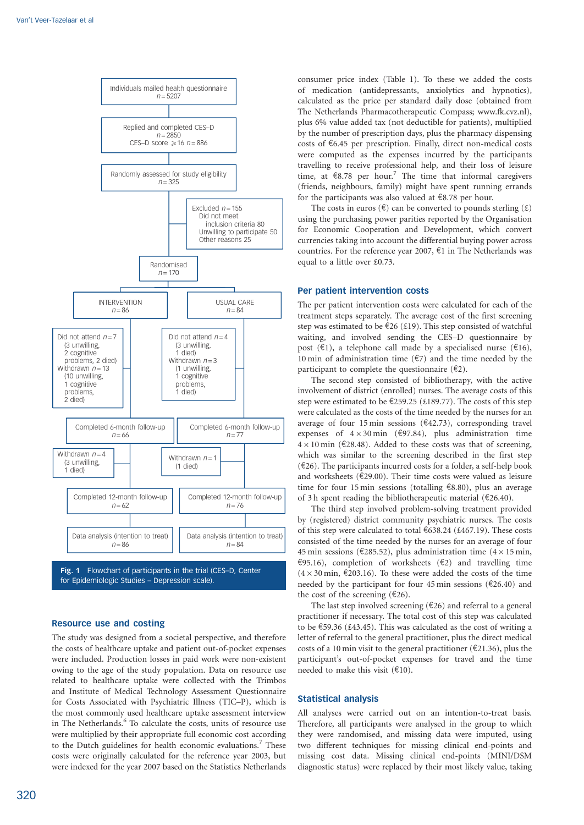

#### Resource use and costing

The study was designed from a societal perspective, and therefore the costs of healthcare uptake and patient out-of-pocket expenses were included. Production losses in paid work were non-existent owing to the age of the study population. Data on resource use related to healthcare uptake were collected with the Trimbos and Institute of Medical Technology Assessment Questionnaire for Costs Associated with Psychiatric Illness (TIC–P), which is the most commonly used healthcare uptake assessment interview in The Netherlands.<sup>6</sup> To calculate the costs, units of resource use were multiplied by their appropriate full economic cost according to the Dutch guidelines for health economic evaluations.<sup>7</sup> These costs were originally calculated for the reference year 2003, but were indexed for the year 2007 based on the Statistics Netherlands

320

consumer price index (Table 1). To these we added the costs of medication (antidepressants, anxiolytics and hypnotics), calculated as the price per standard daily dose (obtained from The Netherlands Pharmacotherapeutic Compass; www.fk.cvz.nl), plus 6% value added tax (not deductible for patients), multiplied by the number of prescription days, plus the pharmacy dispensing costs of  $6.45$  per prescription. Finally, direct non-medical costs were computed as the expenses incurred by the participants travelling to receive professional help, and their loss of leisure time, at  $\epsilon$ 8.78 per hour.<sup>7</sup> The time that informal caregivers (friends, neighbours, family) might have spent running errands for the participants was also valued at  $\epsilon$ 8.78 per hour.

The costs in euros ( $\epsilon$ ) can be converted to pounds sterling ( $\epsilon$ ) using the purchasing power parities reported by the Organisation for Economic Cooperation and Development, which convert currencies taking into account the differential buying power across countries. For the reference year 2007,  $\epsilon$ 1 in The Netherlands was equal to a little over £0.73.

#### Per patient intervention costs

The per patient intervention costs were calculated for each of the treatment steps separately. The average cost of the first screening step was estimated to be  $\epsilon$ 26 (£19). This step consisted of watchful waiting, and involved sending the CES–D questionnaire by post ( $\epsilon$ 1), a telephone call made by a specialised nurse ( $\epsilon$ 16), 10 min of administration time ( $\epsilon$ 7) and the time needed by the participant to complete the questionnaire  $(\epsilon_2)$ .

The second step consisted of bibliotherapy, with the active involvement of district (enrolled) nurses. The average costs of this step were estimated to be  $\epsilon$ 259.25 (£189.77). The costs of this step were calculated as the costs of the time needed by the nurses for an average of four 15 min sessions ( $\epsilon$ 42.73), corresponding travel expenses of  $4 \times 30$  min ( $697.84$ ), plus administration time  $4 \times 10$  min ( $\epsilon$ 28.48). Added to these costs was that of screening, which was similar to the screening described in the first step  $(£26)$ . The participants incurred costs for a folder, a self-help book and worksheets ( $E$ 29.00). Their time costs were valued as leisure time for four 15 min sessions (totalling  $\epsilon$ 8.80), plus an average of 3 h spent reading the bibliotherapeutic material ( $\epsilon$ 26.40).

The third step involved problem-solving treatment provided by (registered) district community psychiatric nurses. The costs of this step were calculated to total  $638.24$  (£467.19). These costs consisted of the time needed by the nurses for an average of four 45 min sessions ( $\epsilon$ 285.52), plus administration time ( $4 \times 15$  min,  $e$ 95.16), completion of worksheets ( $e$ 2) and travelling time  $(4 \times 30 \text{ min}, \, \text{\textsterling}203.16)$ . To these were added the costs of the time needed by the participant for four 45 min sessions ( $\epsilon$ 26.40) and the cost of the screening ( $E$ 26).

The last step involved screening  $(€26)$  and referral to a general practitioner if necessary. The total cost of this step was calculated to be  $\epsilon$ 59.36 (£43.45). This was calculated as the cost of writing a letter of referral to the general practitioner, plus the direct medical costs of a 10 min visit to the general practitioner ( $\epsilon$ 21.36), plus the participant's out-of-pocket expenses for travel and the time needed to make this visit  $(\text{\textsterling}10)$ .

# Statistical analysis

All analyses were carried out on an intention-to-treat basis. Therefore, all participants were analysed in the group to which they were randomised, and missing data were imputed, using two different techniques for missing clinical end-points and missing cost data. Missing clinical end-points (MINI/DSM diagnostic status) were replaced by their most likely value, taking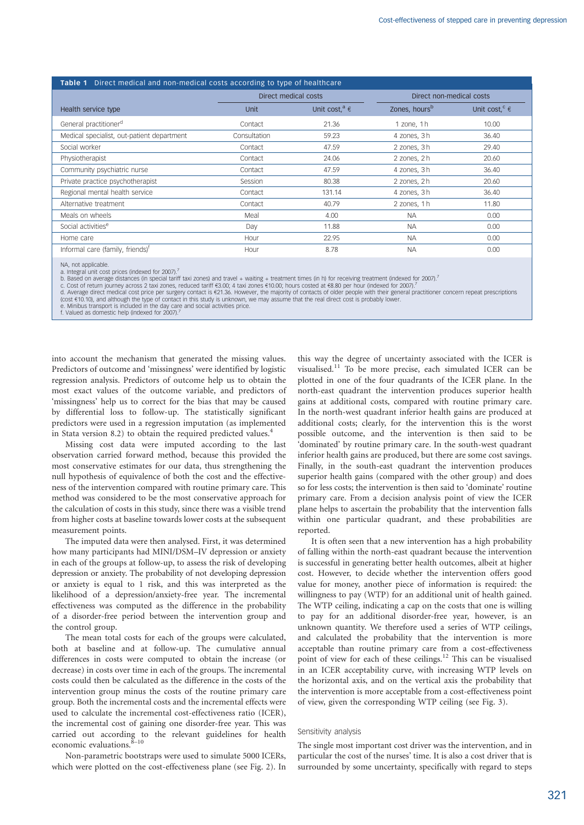| <b>Table 1</b> Direct medical and non-medical costs according to type of healthcare |                      |                               |                           |                               |  |  |
|-------------------------------------------------------------------------------------|----------------------|-------------------------------|---------------------------|-------------------------------|--|--|
|                                                                                     | Direct medical costs |                               | Direct non-medical costs  |                               |  |  |
| Health service type                                                                 | <b>Unit</b>          | Unit cost, <sup>a</sup> $\in$ | Zones, hours <sup>b</sup> | Unit cost, <sup>c</sup> $\in$ |  |  |
| General practitioner <sup>d</sup>                                                   | Contact              | 21.36                         | 1 zone, 1h                | 10.00                         |  |  |
| Medical specialist, out-patient department                                          | Consultation         | 59.23                         | 4 zones, 3h               | 36.40                         |  |  |
| Social worker                                                                       | Contact              | 47.59                         | 2 zones, 3h               | 29.40                         |  |  |
| Physiotherapist                                                                     | Contact              | 24.06                         | 2 zones, 2h               | 20.60                         |  |  |
| Community psychiatric nurse                                                         | Contact              | 47.59                         | 4 zones, 3h               | 36.40                         |  |  |
| Private practice psychotherapist                                                    | Session              | 80.38                         | 2 zones, 2h               | 20.60                         |  |  |
| Regional mental health service                                                      | Contact              | 131.14                        | 4 zones, 3h               | 36.40                         |  |  |
| Alternative treatment                                                               | Contact              | 40.79                         | 2 zones, 1h               | 11.80                         |  |  |
| Meals on wheels                                                                     | Meal                 | 4.00                          | <b>NA</b>                 | 0.00                          |  |  |
| Social activities <sup>e</sup>                                                      | Day                  | 11.88                         | <b>NA</b>                 | 0.00                          |  |  |
| Home care                                                                           | Hour                 | 22.95                         | <b>NA</b>                 | 0.00                          |  |  |
| Informal care (family, friends) <sup>f</sup>                                        | Hour                 | 8.78                          | <b>NA</b>                 | 0.00                          |  |  |

NA, not applicable.

a. Integral unit cost prices (indexed for 2007).<sup>7</sup><br>b. Based on average distances (in special tariff taxi zones) and travel + waiting + treatment times (in h) for receiving treatment (indexed for 2007).<sup>7</sup>

c. Cost of return journey across 2 taxi zones, reduced tariff €3.00; 4 taxi zones €10.00; hours costed at €8.80 per hour (indexed for 2007).<sup>7</sup><br>d. Average direct medical cost price per surgery contact is €21.36. However,

e. Minibus transport is included in the day care and social activities price.

f. Valued as domestic help (indexed for 2007).

into account the mechanism that generated the missing values. Predictors of outcome and 'missingness' were identified by logistic regression analysis. Predictors of outcome help us to obtain the most exact values of the outcome variable, and predictors of 'missingness' help us to correct for the bias that may be caused by differential loss to follow-up. The statistically significant predictors were used in a regression imputation (as implemented in Stata version 8.2) to obtain the required predicted values.<sup>4</sup>

Missing cost data were imputed according to the last observation carried forward method, because this provided the most conservative estimates for our data, thus strengthening the null hypothesis of equivalence of both the cost and the effectiveness of the intervention compared with routine primary care. This method was considered to be the most conservative approach for the calculation of costs in this study, since there was a visible trend from higher costs at baseline towards lower costs at the subsequent measurement points.

The imputed data were then analysed. First, it was determined how many participants had MINI/DSM–IV depression or anxiety in each of the groups at follow-up, to assess the risk of developing depression or anxiety. The probability of not developing depression or anxiety is equal to 1 risk, and this was interpreted as the likelihood of a depression/anxiety-free year. The incremental effectiveness was computed as the difference in the probability of a disorder-free period between the intervention group and the control group.

The mean total costs for each of the groups were calculated, both at baseline and at follow-up. The cumulative annual differences in costs were computed to obtain the increase (or decrease) in costs over time in each of the groups. The incremental costs could then be calculated as the difference in the costs of the intervention group minus the costs of the routine primary care group. Both the incremental costs and the incremental effects were used to calculate the incremental cost-effectiveness ratio (ICER), the incremental cost of gaining one disorder-free year. This was carried out according to the relevant guidelines for health economic evaluations. $8-10$ 

Non-parametric bootstraps were used to simulate 5000 ICERs, which were plotted on the cost-effectiveness plane (see Fig. 2). In this way the degree of uncertainty associated with the ICER is visualised.<sup>11</sup> To be more precise, each simulated ICER can be plotted in one of the four quadrants of the ICER plane. In the north-east quadrant the intervention produces superior health gains at additional costs, compared with routine primary care. In the north-west quadrant inferior health gains are produced at additional costs; clearly, for the intervention this is the worst possible outcome, and the intervention is then said to be 'dominated' by routine primary care. In the south-west quadrant inferior health gains are produced, but there are some cost savings. Finally, in the south-east quadrant the intervention produces superior health gains (compared with the other group) and does so for less costs; the intervention is then said to 'dominate' routine primary care. From a decision analysis point of view the ICER plane helps to ascertain the probability that the intervention falls within one particular quadrant, and these probabilities are reported.

It is often seen that a new intervention has a high probability of falling within the north-east quadrant because the intervention is successful in generating better health outcomes, albeit at higher cost. However, to decide whether the intervention offers good value for money, another piece of information is required: the willingness to pay (WTP) for an additional unit of health gained. The WTP ceiling, indicating a cap on the costs that one is willing to pay for an additional disorder-free year, however, is an unknown quantity. We therefore used a series of WTP ceilings, and calculated the probability that the intervention is more acceptable than routine primary care from a cost-effectiveness point of view for each of these ceilings.12 This can be visualised in an ICER acceptability curve, with increasing WTP levels on the horizontal axis, and on the vertical axis the probability that the intervention is more acceptable from a cost-effectiveness point of view, given the corresponding WTP ceiling (see Fig. 3).

#### Sensitivity analysis

The single most important cost driver was the intervention, and in particular the cost of the nurses' time. It is also a cost driver that is surrounded by some uncertainty, specifically with regard to steps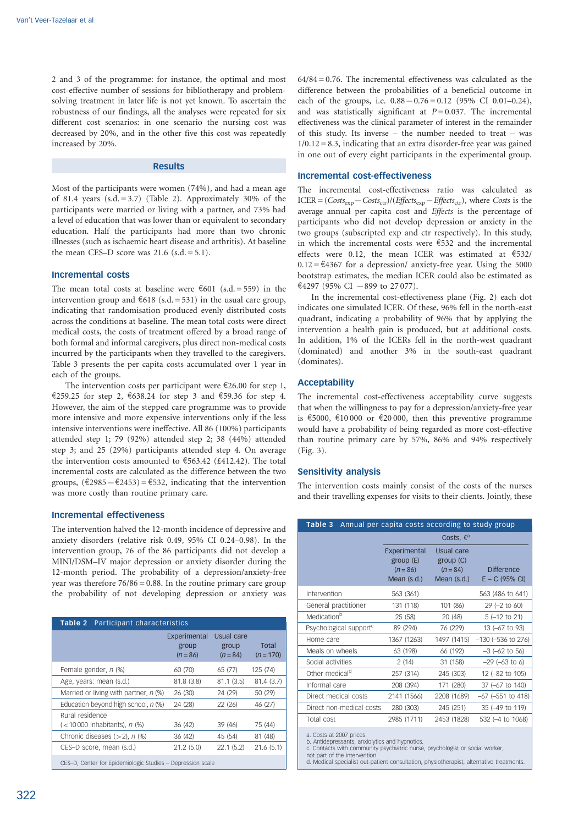2 and 3 of the programme: for instance, the optimal and most cost-effective number of sessions for bibliotherapy and problemsolving treatment in later life is not yet known. To ascertain the robustness of our findings, all the analyses were repeated for six different cost scenarios: in one scenario the nursing cost was decreased by 20%, and in the other five this cost was repeatedly increased by 20%.

# Results

Most of the participants were women (74%), and had a mean age of 81.4 years  $(s.d. = 3.7)$  (Table 2). Approximately 30% of the participants were married or living with a partner, and 73% had a level of education that was lower than or equivalent to secondary education. Half the participants had more than two chronic illnesses (such as ischaemic heart disease and arthritis). At baseline the mean CES–D score was  $21.6$  (s.d. =  $5.1$ ).

# Incremental costs

The mean total costs at baseline were  $\epsilon$ 601 (s.d. = 559) in the intervention group and  $618$  (s.d. = 531) in the usual care group, indicating that randomisation produced evenly distributed costs across the conditions at baseline. The mean total costs were direct medical costs, the costs of treatment offered by a broad range of both formal and informal caregivers, plus direct non-medical costs incurred by the participants when they travelled to the caregivers. Table 3 presents the per capita costs accumulated over 1 year in each of the groups.

The intervention costs per participant were  $\epsilon$ 26.00 for step 1, €259.25 for step 2, €638.24 for step 3 and €59.36 for step 4. However, the aim of the stepped care programme was to provide more intensive and more expensive interventions only if the less intensive interventions were ineffective. All 86 (100%) participants attended step 1; 79 (92%) attended step 2; 38 (44%) attended step 3; and 25 (29%) participants attended step 4. On average the intervention costs amounted to  $\epsilon$ 563.42 (£412.42). The total incremental costs are calculated as the difference between the two groups,  $(\text{\textsterling}2985 - \text{\textsterling}2453) = \text{\textsterling}532$ , indicating that the intervention was more costly than routine primary care.

# Incremental effectiveness

The intervention halved the 12-month incidence of depressive and anxiety disorders (relative risk 0.49, 95% CI 0.24–0.98). In the intervention group, 76 of the 86 participants did not develop a MINI/DSM–IV major depression or anxiety disorder during the 12-month period. The probability of a depression/anxiety-free year was therefore  $76/86 = 0.88$ . In the routine primary care group the probability of not developing depression or anxiety was

| <b>Table 2</b> Participant characteristics                 |                                     |                                   |                      |  |  |
|------------------------------------------------------------|-------------------------------------|-----------------------------------|----------------------|--|--|
|                                                            | Experimental<br>group<br>$(n = 86)$ | Usual care<br>group<br>$(n = 84)$ | Total<br>$(n = 170)$ |  |  |
| Female gender, n (%)                                       | 60 (70)                             | 65 (77)                           | 125 (74)             |  |  |
| Age, years: mean (s.d.)                                    | 81.8(3.8)                           | 81.1(3.5)                         | 81.4 (3.7)           |  |  |
| Married or living with partner, n (%)                      | 26 (30)                             | 24 (29)                           | 50 (29)              |  |  |
| Education beyond high school, n (%)                        | 24 (28)                             | 22 (26)                           | 46 (27)              |  |  |
| Rural residence                                            |                                     |                                   |                      |  |  |
| $(< 10000$ inhabitants), n $(\%)$                          | 36 (42)                             | 39 (46)                           | 75 (44)              |  |  |
| Chronic diseases $(>2)$ , n $(%)$                          | 36 (42)                             | 45 (54)                           | 81 (48)              |  |  |
| CES-D score, mean (s.d.)                                   | 21.2(5.0)                           | 22.1(5.2)                         | 21.6(5.1)            |  |  |
| CES-D, Center for Epidemiologic Studies - Depression scale |                                     |                                   |                      |  |  |

 $64/84 = 0.76$ . The incremental effectiveness was calculated as the difference between the probabilities of a beneficial outcome in each of the groups, i.e.  $0.88 - 0.76 = 0.12$  (95% CI 0.01–0.24), and was statistically significant at  $P = 0.037$ . The incremental effectiveness was the clinical parameter of interest in the remainder of this study. Its inverse – the number needed to treat – was  $1/0.12 = 8.3$ , indicating that an extra disorder-free year was gained in one out of every eight participants in the experimental group.

# Incremental cost-effectiveness

The incremental cost-effectiveness ratio was calculated as ICER =  $(Costs_{exp}-Costs_{ctr})/(Effects_{exp}-Effects_{ctr})$ , where Costs is the average annual per capita cost and Effects is the percentage of participants who did not develop depression or anxiety in the two groups (subscripted exp and ctr respectively). In this study, in which the incremental costs were  $\epsilon$ 532 and the incremental effects were 0.12, the mean ICER was estimated at  $6532/$  $0.12 = \text{\textsterling}4367$  for a depression/ anxiety-free year. Using the 5000 bootstrap estimates, the median ICER could also be estimated as  $\text{\textsterling}4297$  (95% CI  $-899$  to 27 077).

In the incremental cost-effectiveness plane (Fig. 2) each dot indicates one simulated ICER. Of these, 96% fell in the north-east quadrant, indicating a probability of 96% that by applying the intervention a health gain is produced, but at additional costs. In addition, 1% of the ICERs fell in the north-west quadrant (dominated) and another 3% in the south-east quadrant (dominates).

# **Acceptability**

The incremental cost-effectiveness acceptability curve suggests that when the willingness to pay for a depression/anxiety-free year is  $\epsilon$ 5000,  $\epsilon$ 10 000 or  $\epsilon$ 20 000, then this preventive programme would have a probability of being regarded as more cost-effective than routine primary care by 57%, 86% and 94% respectively (Fig. 3).

# Sensitivity analysis

The intervention costs mainly consist of the costs of the nurses and their travelling expenses for visits to their clients. Jointly, these

| Annual per capita costs according to study group<br>Table 3 |                                                       |                                                      |                                       |  |  |  |
|-------------------------------------------------------------|-------------------------------------------------------|------------------------------------------------------|---------------------------------------|--|--|--|
|                                                             | Costs, $\epsilon^a$                                   |                                                      |                                       |  |  |  |
|                                                             | Experimental<br>group(E)<br>$(n = 86)$<br>Mean (s.d.) | Usual care<br>group (C)<br>$(n = 84)$<br>Mean (s.d.) | <b>Difference</b><br>$E - C$ (95% CI) |  |  |  |
| Intervention                                                | 563 (361)                                             |                                                      | 563 (486 to 641)                      |  |  |  |
| General practitioner                                        | 131 (118)                                             | 101 (86)                                             | 29 (-2 to 60)                         |  |  |  |
| Medicationb                                                 | 25 (58)                                               | 20 (48)                                              | $5(-12 \text{ to } 21)$               |  |  |  |
| Psychological support <sup>c</sup>                          | 89 (294)                                              | 76 (229)                                             | 13 (-67 to 93)                        |  |  |  |
| Home care                                                   | 1367 (1263)                                           | 1497 (1415)                                          | $-130$ ( $-536$ to 276)               |  |  |  |
| Meals on wheels                                             | 63 (198)                                              | 66 (192)                                             | $-3$ ( $-62$ to 56)                   |  |  |  |
| Social activities                                           | 2(14)                                                 | 31 (158)                                             | $-29$ ( $-63$ to 6)                   |  |  |  |
| Other medical <sup>d</sup>                                  | 257 (314)                                             | 245 (303)                                            | 12 (-82 to 105)                       |  |  |  |
| Informal care                                               | 208 (394)                                             | 171 (280)                                            | 37 (-67 to 140)                       |  |  |  |
| Direct medical costs                                        | 2141 (1566)                                           | 2208 (1689)                                          | $-67$ ( $-551$ to 418)                |  |  |  |
| Direct non-medical costs                                    | 280 (303)                                             | 245 (251)                                            | 35 (-49 to 119)                       |  |  |  |
| Total cost                                                  | 2985 (1711)                                           | 2453 (1828)                                          | 532 (-4 to 1068)                      |  |  |  |
| o Coota at 2007 prioac                                      |                                                       |                                                      |                                       |  |  |  |

a. Costs at 2007 prices. b. Antidepressants, anxiolytics and hypnotics. c. Contacts with community psychiatric nurse, psychologist or social worker,

not part of the intervention. d. Medical specialist out-patient consultation, physiotherapist, alternative treatments.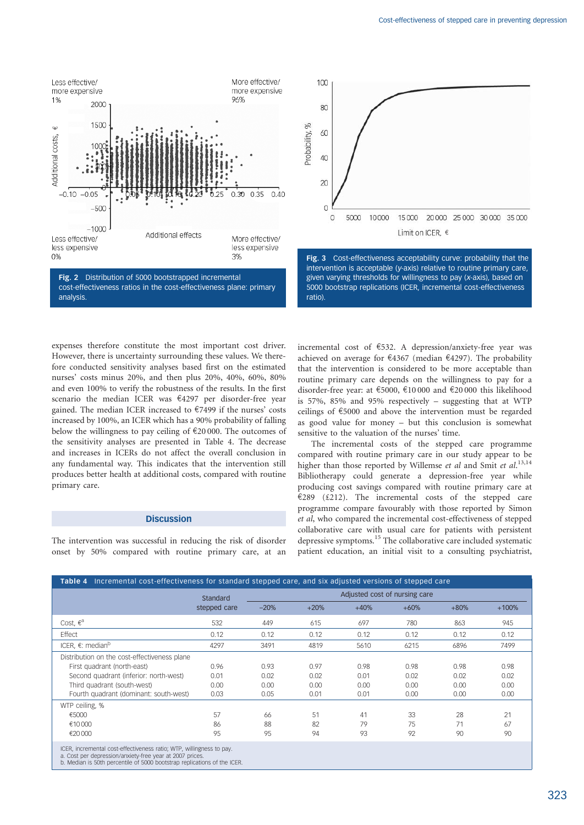

expenses therefore constitute the most important cost driver. However, there is uncertainty surrounding these values. We therefore conducted sensitivity analyses based first on the estimated nurses' costs minus 20%, and then plus 20%, 40%, 60%, 80% and even 100% to verify the robustness of the results. In the first scenario the median ICER was  $\epsilon$ 4297 per disorder-free year gained. The median ICER increased to  $\epsilon$ 7499 if the nurses' costs increased by 100%, an ICER which has a 90% probability of falling below the willingness to pay ceiling of  $\text{\textsterling}20\,000$ . The outcomes of the sensitivity analyses are presented in Table 4. The decrease and increases in ICERs do not affect the overall conclusion in any fundamental way. This indicates that the intervention still produces better health at additional costs, compared with routine primary care.

# **Discussion**

The intervention was successful in reducing the risk of disorder onset by 50% compared with routine primary care, at an incremental cost of e532. A depression/anxiety-free year was achieved on average for  $\epsilon$ 4367 (median  $\epsilon$ 4297). The probability that the intervention is considered to be more acceptable than routine primary care depends on the willingness to pay for a disorder-free year: at  $\epsilon$ 5000,  $\epsilon$ 10 000 and  $\epsilon$ 20 000 this likelihood is 57%, 85% and 95% respectively – suggesting that at WTP ceilings of  $\epsilon$ 5000 and above the intervention must be regarded as good value for money – but this conclusion is somewhat sensitive to the valuation of the nurses' time.

The incremental costs of the stepped care programme compared with routine primary care in our study appear to be higher than those reported by Willemse et al and Smit et al.<sup>13,14</sup> Bibliotherapy could generate a depression-free year while producing cost savings compared with routine primary care at  $E289$  (£212). The incremental costs of the stepped care programme compare favourably with those reported by Simon et al, who compared the incremental cost-effectiveness of stepped collaborative care with usual care for patients with persistent depressive symptoms.<sup>15</sup> The collaborative care included systematic patient education, an initial visit to a consulting psychiatrist,

| Incremental cost-effectiveness for standard stepped care, and six adjusted versions of stepped care<br>Table 4                 |              |                               |        |        |        |        |         |
|--------------------------------------------------------------------------------------------------------------------------------|--------------|-------------------------------|--------|--------|--------|--------|---------|
|                                                                                                                                | Standard     | Adjusted cost of nursing care |        |        |        |        |         |
|                                                                                                                                | stepped care | $-20%$                        | $+20%$ | $+40%$ | $+60%$ | $+80%$ | $+100%$ |
| Cost, $\epsilon^a$                                                                                                             | 532          | 449                           | 615    | 697    | 780    | 863    | 945     |
| Effect                                                                                                                         | 0.12         | 0.12                          | 0.12   | 0.12   | 0.12   | 0.12   | 0.12    |
| ICER, $\varepsilon$ : median <sup>b</sup>                                                                                      | 4297         | 3491                          | 4819   | 5610   | 6215   | 6896   | 7499    |
| Distribution on the cost-effectiveness plane                                                                                   |              |                               |        |        |        |        |         |
| First quadrant (north-east)                                                                                                    | 0.96         | 0.93                          | 0.97   | 0.98   | 0.98   | 0.98   | 0.98    |
| Second quadrant (inferior: north-west)                                                                                         | 0.01         | 0.02                          | 0.02   | 0.01   | 0.02   | 0.02   | 0.02    |
| Third quadrant (south-west)                                                                                                    | 0.00         | 0.00                          | 0.00   | 0.00   | 0.00   | 0.00   | 0.00    |
| Fourth quadrant (dominant: south-west)                                                                                         | 0.03         | 0.05                          | 0.01   | 0.01   | 0.00   | 0.00   | 0.00    |
| WTP ceiling, %                                                                                                                 |              |                               |        |        |        |        |         |
| €5000                                                                                                                          | 57           | 66                            | 51     | 41     | 33     | 28     | 21      |
| €10000                                                                                                                         | 86           | 88                            | 82     | 79     | 75     | 71     | 67      |
| €20 000                                                                                                                        | 95           | 95                            | 94     | 93     | 92     | 90     | 90      |
| ICER, incremental cost-effectiveness ratio; WTP, willingness to pay.<br>a Cost ner denression/anviety-free year at 2007 prices |              |                               |        |        |        |        |         |

a. Cost per depression/anxiety-free year at 2007 prices. b. Median is 50th percentile of 5000 bootstrap replications of the ICER.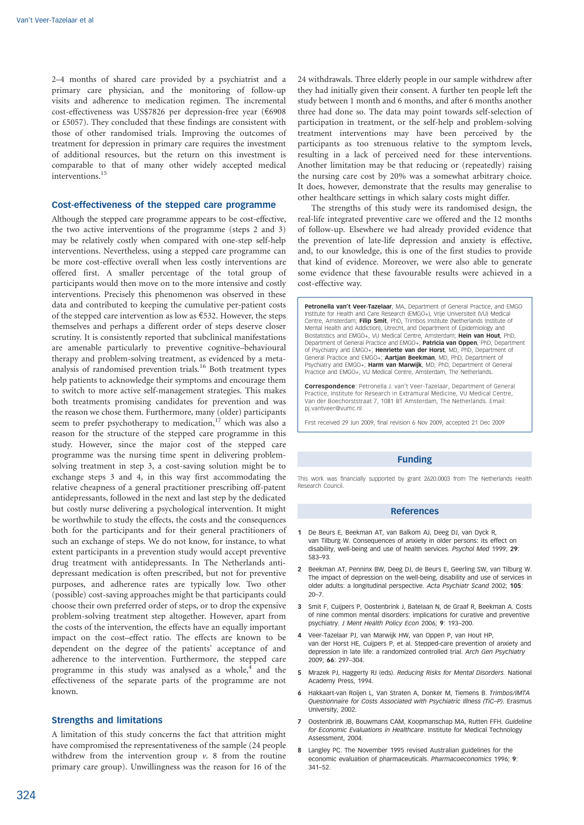2–4 months of shared care provided by a psychiatrist and a primary care physician, and the monitoring of follow-up visits and adherence to medication regimen. The incremental cost-effectiveness was US\$7826 per depression-free year (€6908 or £5057). They concluded that these findings are consistent with those of other randomised trials. Improving the outcomes of treatment for depression in primary care requires the investment of additional resources, but the return on this investment is comparable to that of many other widely accepted medical interventions.<sup>15</sup>

# Cost-effectiveness of the stepped care programme

Although the stepped care programme appears to be cost-effective, the two active interventions of the programme (steps 2 and 3) may be relatively costly when compared with one-step self-help interventions. Nevertheless, using a stepped care programme can be more cost-effective overall when less costly interventions are offered first. A smaller percentage of the total group of participants would then move on to the more intensive and costly interventions. Precisely this phenomenon was observed in these data and contributed to keeping the cumulative per-patient costs of the stepped care intervention as low as  $€532$ . However, the steps themselves and perhaps a different order of steps deserve closer scrutiny. It is consistently reported that subclinical manifestations are amenable particularly to preventive cognitive–behavioural therapy and problem-solving treatment, as evidenced by a metaanalysis of randomised prevention trials.<sup>16</sup> Both treatment types help patients to acknowledge their symptoms and encourage them to switch to more active self-management strategies. This makes both treatments promising candidates for prevention and was the reason we chose them. Furthermore, many (older) participants seem to prefer psychotherapy to medication,<sup>17</sup> which was also a reason for the structure of the stepped care programme in this study. However, since the major cost of the stepped care programme was the nursing time spent in delivering problemsolving treatment in step 3, a cost-saving solution might be to exchange steps 3 and 4, in this way first accommodating the relative cheapness of a general practitioner prescribing off-patent antidepressants, followed in the next and last step by the dedicated but costly nurse delivering a psychological intervention. It might be worthwhile to study the effects, the costs and the consequences both for the participants and for their general practitioners of such an exchange of steps. We do not know, for instance, to what extent participants in a prevention study would accept preventive drug treatment with antidepressants. In The Netherlands antidepressant medication is often prescribed, but not for preventive purposes, and adherence rates are typically low. Two other (possible) cost-saving approaches might be that participants could choose their own preferred order of steps, or to drop the expensive problem-solving treatment step altogether. However, apart from the costs of the intervention, the effects have an equally important impact on the cost–effect ratio. The effects are known to be dependent on the degree of the patients' acceptance of and adherence to the intervention. Furthermore, the stepped care programme in this study was analysed as a whole, $4$  and the effectiveness of the separate parts of the programme are not known.

#### Strengths and limitations

A limitation of this study concerns the fact that attrition might have compromised the representativeness of the sample (24 people withdrew from the intervention group  $\nu$ . 8 from the routine primary care group). Unwillingness was the reason for 16 of the

24 withdrawals. Three elderly people in our sample withdrew after they had initially given their consent. A further ten people left the study between 1 month and 6 months, and after 6 months another three had done so. The data may point towards self-selection of participation in treatment, or the self-help and problem-solving treatment interventions may have been perceived by the participants as too strenuous relative to the symptom levels, resulting in a lack of perceived need for these interventions. Another limitation may be that reducing or (repeatedly) raising the nursing care cost by 20% was a somewhat arbitrary choice. It does, however, demonstrate that the results may generalise to other healthcare settings in which salary costs might differ.

The strengths of this study were its randomised design, the real-life integrated preventive care we offered and the 12 months of follow-up. Elsewhere we had already provided evidence that the prevention of late-life depression and anxiety is effective, and, to our knowledge, this is one of the first studies to provide that kind of evidence. Moreover, we were also able to generate some evidence that these favourable results were achieved in a cost-effective way.

Petronella van't Veer-Tazelaar, MA, Department of General Practice, and EMGO Institute for Health and Care Research (EMGO+), Vrije Universiteit (VU) Medical Centre, Amsterdam; Filip Smit, PhD, Trimbos Institute (Netherlands Institute of Mental Health and Addiction), Utrecht, and Department of Epidemiology and Biostatistics and EMGO+, VU Medical Centre, Amsterdam; Hein van Hout, PhD, Department of General Practice and EMGO+; Patricia van Oppen, PhD, Department of Psychiatry and EMGO+; Henriette van der Horst, MD, PhD, Department of General Practice and EMGO+; Aartjan Beekman, MD, PhD, Department of Psychiatry and EMGO+; Harm van Marwijk, MD, PhD, Department of General Practice and EMGO+, VU Medical Centre, Amsterdam, The Netherlands.

Correspondence: Petronella J. van't Veer-Tazelaar, Department of General Practice, Institute for Research in Extramural Medicine, VU Medical Centre, Van der Boechorststraat 7, 1081 BT Amsterdam, The Netherlands. Email: pj.vantveer@vumc.nl

First received 29 Jun 2009, final revision 6 Nov 2009, accepted 21 Dec 2009

## Funding

This work was financially supported by grant 2620.0003 from The Netherlands Health Research Council.

#### References

- 1 De Beurs E, Beekman AT, van Balkom AJ, Deeg DJ, van Dyck R, van Tilburg W. Consequences of anxiety in older persons: its effect on disability, well-being and use of health services. Psychol Med 1999; 29: 583–93.
- 2 Beekman AT, Penninx BW, Deeg DJ, de Beurs E, Geerling SW, van Tilburg W. The impact of depression on the well-being, disability and use of services in older adults: a longitudinal perspective. Acta Psychiatr Scand 2002; 105: 20–7.
- 3 Smit F, Cuijpers P, Oostenbrink J, Batelaan N, de Graaf R, Beekman A. Costs of nine common mental disorders: implications for curative and preventive psychiatry. J Ment Health Policy Econ 2006; 9: 193–200.
- 4 Veer-Tazelaar PJ, van Marwijk HW, van Oppen P, van Hout HP, van der Horst HE, Cuijpers P, et al. Stepped-care prevention of anxiety and depression in late life: a randomized controlled trial. Arch Gen Psychiatry 2009; 66: 297–304.
- 5 Mrazek PJ, Haggerty RJ (eds). Reducing Risks for Mental Disorders. National Academy Press, 1994.
- 6 Hakkaart-van Roijen L, Van Straten A, Donker M, Tiemens B. Trimbos/iMTA Questionnaire for Costs Associated with Psychiatric Illness (TiC–P). Erasmus University, 2002.
- 7 Oostenbrink JB, Bouwmans CAM, Koopmanschap MA, Rutten FFH. Guideline for Economic Evaluations in Healthcare. Institute for Medical Technology Assessment, 2004.
- 8 Langley PC. The November 1995 revised Australian guidelines for the economic evaluation of pharmaceuticals. Pharmacoeconomics 1996: 9: 341–52.